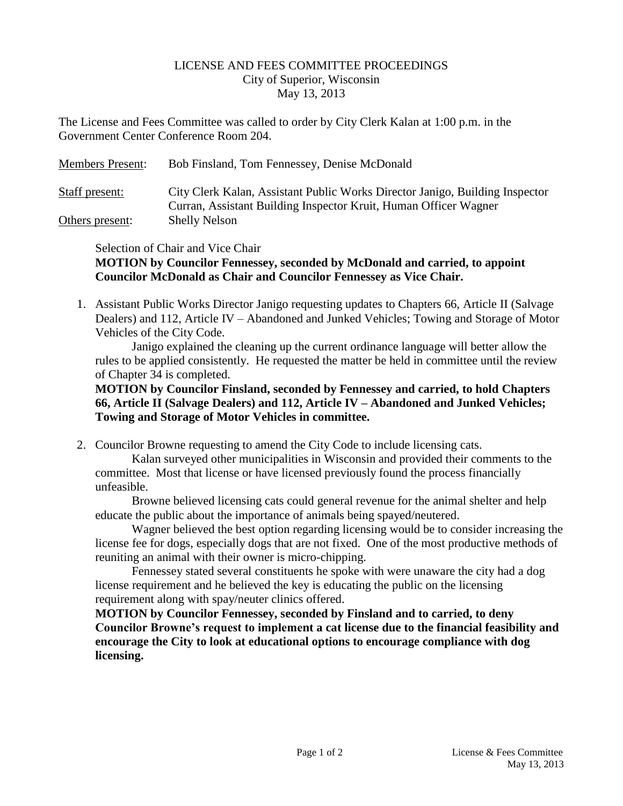## LICENSE AND FEES COMMITTEE PROCEEDINGS City of Superior, Wisconsin May 13, 2013

The License and Fees Committee was called to order by City Clerk Kalan at 1:00 p.m. in the Government Center Conference Room 204.

| <b>Members Present:</b> | Bob Finsland, Tom Fennessey, Denise McDonald                                                                                                     |
|-------------------------|--------------------------------------------------------------------------------------------------------------------------------------------------|
| Staff present:          | City Clerk Kalan, Assistant Public Works Director Janigo, Building Inspector<br>Curran, Assistant Building Inspector Kruit, Human Officer Wagner |
| Others present:         | <b>Shelly Nelson</b>                                                                                                                             |

Selection of Chair and Vice Chair

## **MOTION by Councilor Fennessey, seconded by McDonald and carried, to appoint Councilor McDonald as Chair and Councilor Fennessey as Vice Chair.**

1. Assistant Public Works Director Janigo requesting updates to Chapters 66, Article II (Salvage Dealers) and 112, Article IV – Abandoned and Junked Vehicles; Towing and Storage of Motor Vehicles of the City Code.

Janigo explained the cleaning up the current ordinance language will better allow the rules to be applied consistently. He requested the matter be held in committee until the review of Chapter 34 is completed.

## **MOTION by Councilor Finsland, seconded by Fennessey and carried, to hold Chapters 66, Article II (Salvage Dealers) and 112, Article IV – Abandoned and Junked Vehicles; Towing and Storage of Motor Vehicles in committee.**

2. Councilor Browne requesting to amend the City Code to include licensing cats.

Kalan surveyed other municipalities in Wisconsin and provided their comments to the committee. Most that license or have licensed previously found the process financially unfeasible.

Browne believed licensing cats could general revenue for the animal shelter and help educate the public about the importance of animals being spayed/neutered.

Wagner believed the best option regarding licensing would be to consider increasing the license fee for dogs, especially dogs that are not fixed. One of the most productive methods of reuniting an animal with their owner is micro-chipping.

Fennessey stated several constituents he spoke with were unaware the city had a dog license requirement and he believed the key is educating the public on the licensing requirement along with spay/neuter clinics offered.

**MOTION by Councilor Fennessey, seconded by Finsland and to carried, to deny Councilor Browne's request to implement a cat license due to the financial feasibility and encourage the City to look at educational options to encourage compliance with dog licensing.**